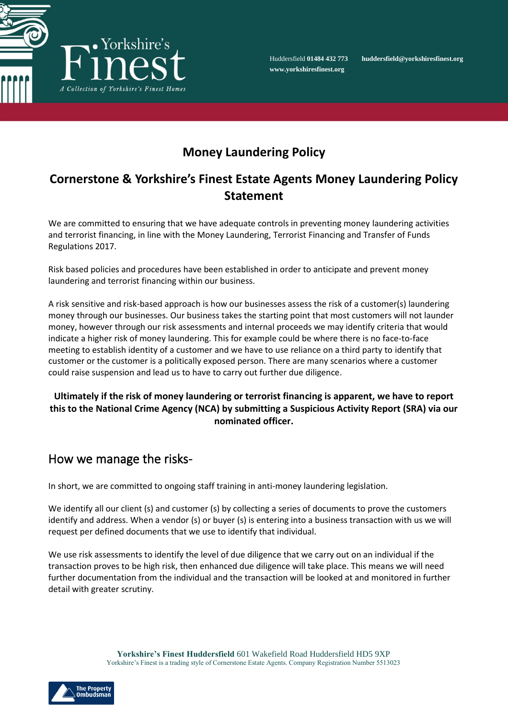

Huddersfield **01484 432 773 huddersfield@yorkshiresfinest.org**

# **Money Laundering Policy**

## **Cornerstone & Yorkshire's Finest Estate Agents Money Laundering Policy Statement**

We are committed to ensuring that we have adequate controls in preventing money laundering activities and terrorist financing, in line with the Money Laundering, Terrorist Financing and Transfer of Funds Regulations 2017.

Risk based policies and procedures have been established in order to anticipate and prevent money laundering and terrorist financing within our business.

A risk sensitive and risk-based approach is how our businesses assess the risk of a customer(s) laundering money through our businesses. Our business takes the starting point that most customers will not launder money, however through our risk assessments and internal proceeds we may identify criteria that would indicate a higher risk of money laundering. This for example could be where there is no face-to-face meeting to establish identity of a customer and we have to use reliance on a third party to identify that customer or the customer is a politically exposed person. There are many scenarios where a customer could raise suspension and lead us to have to carry out further due diligence.

#### **Ultimately if the risk of money laundering or terrorist financing is apparent, we have to report this to the National Crime Agency (NCA) by submitting a Suspicious Activity Report (SRA) via our nominated officer.**

#### How we manage the risks-

In short, we are committed to ongoing staff training in anti-money laundering legislation.

We identify all our client (s) and customer (s) by collecting a series of documents to prove the customers identify and address. When a vendor (s) or buyer (s) is entering into a business transaction with us we will request per defined documents that we use to identify that individual.

We use risk assessments to identify the level of due diligence that we carry out on an individual if the transaction proves to be high risk, then enhanced due diligence will take place. This means we will need further documentation from the individual and the transaction will be looked at and monitored in further detail with greater scrutiny.

> **Yorkshire's Finest Huddersfield** 601 Wakefield Road Huddersfield HD5 9XP Yorkshire's Finest is a trading style of Cornerstone Estate Agents. Company Registration Number 5513023

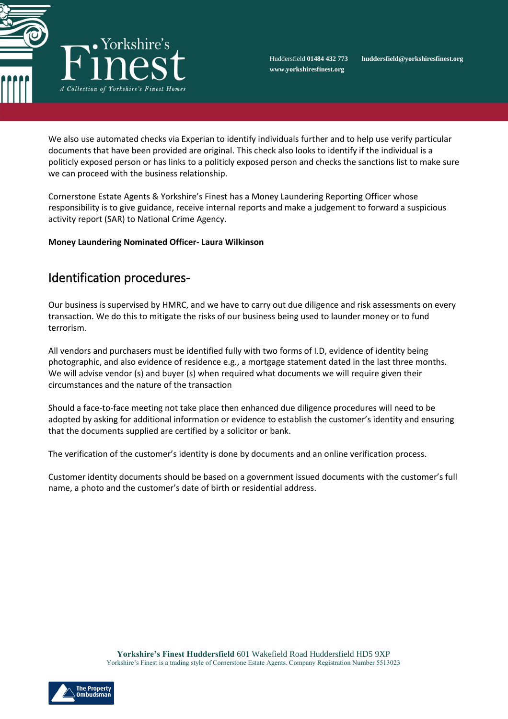

**www.yorkshiresfinest.org**

Huddersfield **01484 432 773 huddersfield@yorkshiresfinest.org**

We also use automated checks via Experian to identify individuals further and to help use verify particular documents that have been provided are original. This check also looks to identify if the individual is a politicly exposed person or has links to a politicly exposed person and checks the sanctions list to make sure we can proceed with the business relationship.

Cornerstone Estate Agents & Yorkshire's Finest has a Money Laundering Reporting Officer whose responsibility is to give guidance, receive internal reports and make a judgement to forward a suspicious activity report (SAR) to National Crime Agency.

#### **Money Laundering Nominated Officer- Laura Wilkinson**

## Identification procedures-

Our business is supervised by HMRC, and we have to carry out due diligence and risk assessments on every transaction. We do this to mitigate the risks of our business being used to launder money or to fund terrorism.

All vendors and purchasers must be identified fully with two forms of I.D, evidence of identity being photographic, and also evidence of residence e.g., a mortgage statement dated in the last three months. We will advise vendor (s) and buyer (s) when required what documents we will require given their circumstances and the nature of the transaction

Should a face-to-face meeting not take place then enhanced due diligence procedures will need to be adopted by asking for additional information or evidence to establish the customer's identity and ensuring that the documents supplied are certified by a solicitor or bank.

The verification of the customer's identity is done by documents and an online verification process.

Customer identity documents should be based on a government issued documents with the customer's full name, a photo and the customer's date of birth or residential address.

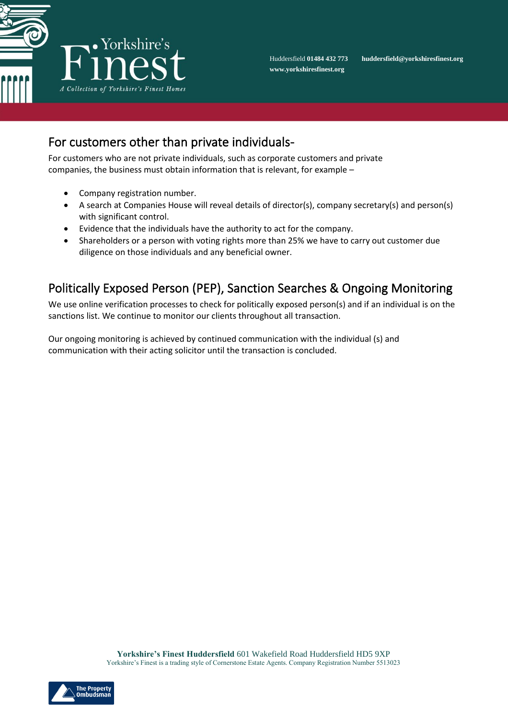

# For customers other than private individuals-

For customers who are not private individuals, such as corporate customers and private companies, the business must obtain information that is relevant, for example –

- Company registration number.
- A search at Companies House will reveal details of director(s), company secretary(s) and person(s) with significant control.
- Evidence that the individuals have the authority to act for the company.
- Shareholders or a person with voting rights more than 25% we have to carry out customer due diligence on those individuals and any beneficial owner.

# Politically Exposed Person (PEP), Sanction Searches & Ongoing Monitoring

We use online verification processes to check for politically exposed person(s) and if an individual is on the sanctions list. We continue to monitor our clients throughout all transaction.

Our ongoing monitoring is achieved by continued communication with the individual (s) and communication with their acting solicitor until the transaction is concluded.

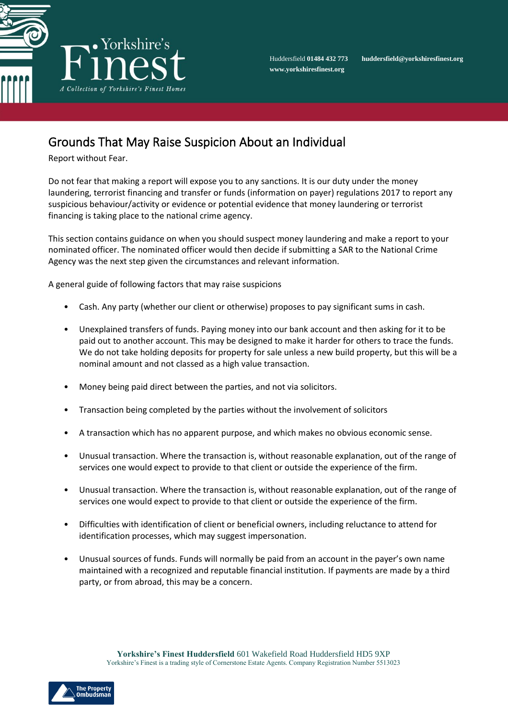

Huddersfield **01484 432 773 huddersfield@yorkshiresfinest.org**

# Grounds That May Raise Suspicion About an Individual

Report without Fear.

Do not fear that making a report will expose you to any sanctions. It is our duty under the money laundering, terrorist financing and transfer or funds (information on payer) regulations 2017 to report any suspicious behaviour/activity or evidence or potential evidence that money laundering or terrorist financing is taking place to the national crime agency.

This section contains guidance on when you should suspect money laundering and make a report to your nominated officer. The nominated officer would then decide if submitting a SAR to the National Crime Agency was the next step given the circumstances and relevant information.

A general guide of following factors that may raise suspicions

- Cash. Any party (whether our client or otherwise) proposes to pay significant sums in cash.
- Unexplained transfers of funds. Paying money into our bank account and then asking for it to be paid out to another account. This may be designed to make it harder for others to trace the funds. We do not take holding deposits for property for sale unless a new build property, but this will be a nominal amount and not classed as a high value transaction.
- Money being paid direct between the parties, and not via solicitors.
- Transaction being completed by the parties without the involvement of solicitors
- A transaction which has no apparent purpose, and which makes no obvious economic sense.
- Unusual transaction. Where the transaction is, without reasonable explanation, out of the range of services one would expect to provide to that client or outside the experience of the firm.
- Unusual transaction. Where the transaction is, without reasonable explanation, out of the range of services one would expect to provide to that client or outside the experience of the firm.
- Difficulties with identification of client or beneficial owners, including reluctance to attend for identification processes, which may suggest impersonation.
- Unusual sources of funds. Funds will normally be paid from an account in the payer's own name maintained with a recognized and reputable financial institution. If payments are made by a third party, or from abroad, this may be a concern.

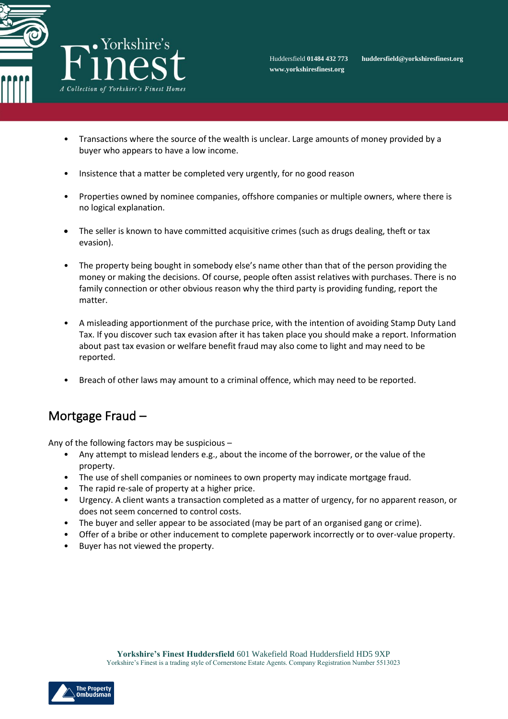

- Transactions where the source of the wealth is unclear. Large amounts of money provided by a buyer who appears to have a low income.
- Insistence that a matter be completed very urgently, for no good reason
- Properties owned by nominee companies, offshore companies or multiple owners, where there is no logical explanation.
- The seller is known to have committed acquisitive crimes (such as drugs dealing, theft or tax evasion).
- The property being bought in somebody else's name other than that of the person providing the money or making the decisions. Of course, people often assist relatives with purchases. There is no family connection or other obvious reason why the third party is providing funding, report the matter.
- A misleading apportionment of the purchase price, with the intention of avoiding Stamp Duty Land Tax. If you discover such tax evasion after it has taken place you should make a report. Information about past tax evasion or welfare benefit fraud may also come to light and may need to be reported.
- Breach of other laws may amount to a criminal offence, which may need to be reported.

#### Mortgage Fraud –

Any of the following factors may be suspicious –

- Any attempt to mislead lenders e.g., about the income of the borrower, or the value of the property.
- The use of shell companies or nominees to own property may indicate mortgage fraud.
- The rapid re-sale of property at a higher price.
- Urgency. A client wants a transaction completed as a matter of urgency, for no apparent reason, or does not seem concerned to control costs.
- The buyer and seller appear to be associated (may be part of an organised gang or crime).
- Offer of a bribe or other inducement to complete paperwork incorrectly or to over-value property.
- Buyer has not viewed the property.

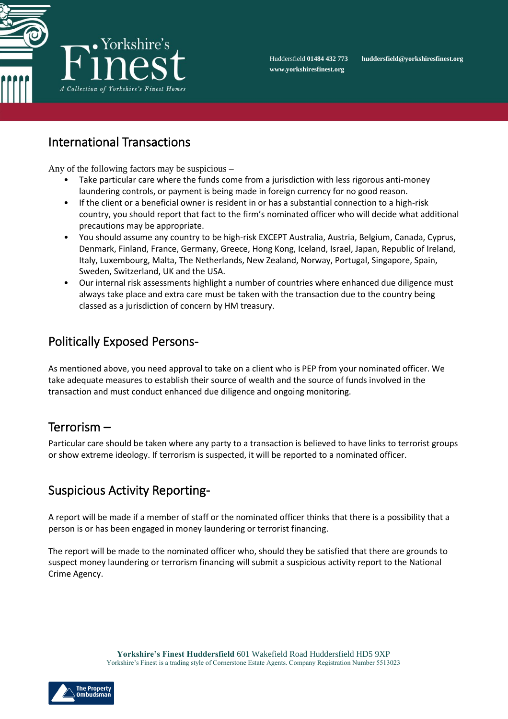

#### International Transactions

Any of the following factors may be suspicious –

- Take particular care where the funds come from a jurisdiction with less rigorous anti-money laundering controls, or payment is being made in foreign currency for no good reason.
- If the client or a beneficial owner is resident in or has a substantial connection to a high-risk country, you should report that fact to the firm's nominated officer who will decide what additional precautions may be appropriate.
- You should assume any country to be high-risk EXCEPT Australia, Austria, Belgium, Canada, Cyprus, Denmark, Finland, France, Germany, Greece, Hong Kong, Iceland, Israel, Japan, Republic of Ireland, Italy, Luxembourg, Malta, The Netherlands, New Zealand, Norway, Portugal, Singapore, Spain, Sweden, Switzerland, UK and the USA.
- Our internal risk assessments highlight a number of countries where enhanced due diligence must always take place and extra care must be taken with the transaction due to the country being classed as a jurisdiction of concern by HM treasury.

# Politically Exposed Persons-

As mentioned above, you need approval to take on a client who is PEP from your nominated officer. We take adequate measures to establish their source of wealth and the source of funds involved in the transaction and must conduct enhanced due diligence and ongoing monitoring.

#### Terrorism –

Particular care should be taken where any party to a transaction is believed to have links to terrorist groups or show extreme ideology. If terrorism is suspected, it will be reported to a nominated officer.

# Suspicious Activity Reporting-

A report will be made if a member of staff or the nominated officer thinks that there is a possibility that a person is or has been engaged in money laundering or terrorist financing.

The report will be made to the nominated officer who, should they be satisfied that there are grounds to suspect money laundering or terrorism financing will submit a suspicious activity report to the National Crime Agency.